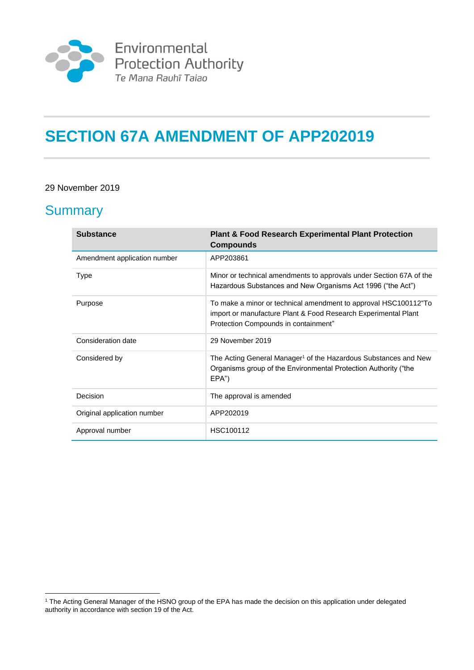

# **SECTION 67A AMENDMENT OF APP202019**

#### 29 November 2019

#### **Summary**

<u>.</u>

| <b>Substance</b>             | <b>Plant &amp; Food Research Experimental Plant Protection</b><br><b>Compounds</b>                                                                                        |
|------------------------------|---------------------------------------------------------------------------------------------------------------------------------------------------------------------------|
| Amendment application number | APP203861                                                                                                                                                                 |
| <b>Type</b>                  | Minor or technical amendments to approvals under Section 67A of the<br>Hazardous Substances and New Organisms Act 1996 ("the Act")                                        |
| Purpose                      | To make a minor or technical amendment to approval HSC100112"To<br>import or manufacture Plant & Food Research Experimental Plant<br>Protection Compounds in containment" |
| Consideration date           | 29 November 2019                                                                                                                                                          |
| Considered by                | The Acting General Manager <sup>1</sup> of the Hazardous Substances and New<br>Organisms group of the Environmental Protection Authority ("the<br>EPA")                   |
| Decision                     | The approval is amended                                                                                                                                                   |
| Original application number  | APP202019                                                                                                                                                                 |
| Approval number              | HSC100112                                                                                                                                                                 |

<sup>1</sup> The Acting General Manager of the HSNO group of the EPA has made the decision on this application under delegated authority in accordance with section 19 of the Act.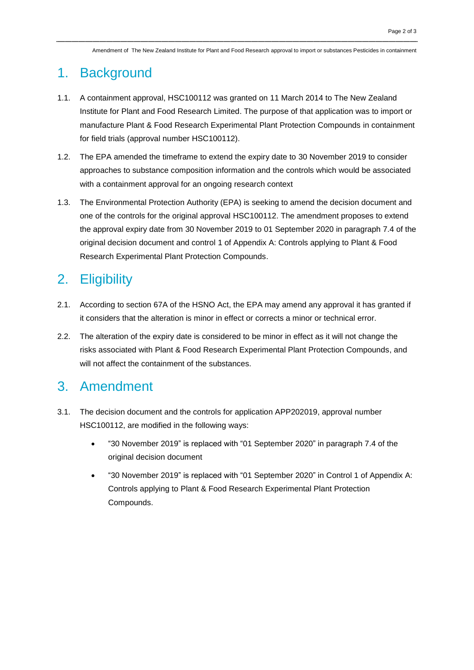Amendment of The New Zealand Institute for Plant and Food Research approval to import or substances Pesticides in containment

#### 1. Background

- 1.1. A containment approval, HSC100112 was granted on 11 March 2014 to The New Zealand Institute for Plant and Food Research Limited. The purpose of that application was to import or manufacture Plant & Food Research Experimental Plant Protection Compounds in containment for field trials (approval number HSC100112).
- 1.2. The EPA amended the timeframe to extend the expiry date to 30 November 2019 to consider approaches to substance composition information and the controls which would be associated with a containment approval for an ongoing research context
- 1.3. The Environmental Protection Authority (EPA) is seeking to amend the decision document and one of the controls for the original approval HSC100112. The amendment proposes to extend the approval expiry date from 30 November 2019 to 01 September 2020 in paragraph 7.4 of the original decision document and control 1 of Appendix A: Controls applying to Plant & Food Research Experimental Plant Protection Compounds.

## 2. Eligibility

- 2.1. According to section 67A of the HSNO Act, the EPA may amend any approval it has granted if it considers that the alteration is minor in effect or corrects a minor or technical error.
- 2.2. The alteration of the expiry date is considered to be minor in effect as it will not change the risks associated with Plant & Food Research Experimental Plant Protection Compounds, and will not affect the containment of the substances.

### 3. Amendment

- 3.1. The decision document and the controls for application APP202019, approval number HSC100112, are modified in the following ways:
	- "30 November 2019" is replaced with "01 September 2020" in paragraph 7.4 of the original decision document
	- "30 November 2019" is replaced with "01 September 2020" in Control 1 of Appendix A: Controls applying to Plant & Food Research Experimental Plant Protection Compounds.